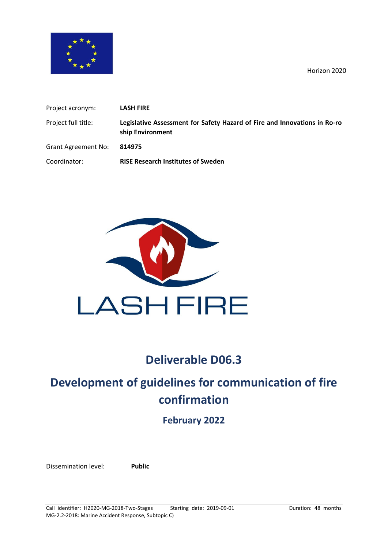

| Project acronym:           | <b>LASH FIRE</b>                                                                              |
|----------------------------|-----------------------------------------------------------------------------------------------|
| Project full title:        | Legislative Assessment for Safety Hazard of Fire and Innovations in Ro-ro<br>ship Environment |
| <b>Grant Agreement No:</b> | 814975                                                                                        |
| Coordinator:               | <b>RISE Research Institutes of Sweden</b>                                                     |



# **Deliverable D06.3**

# **Development of guidelines for communication of fire confirmation**

**February 2022**

Dissemination level: **Public**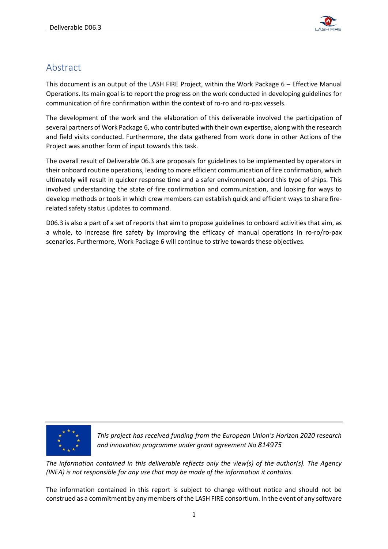

# Abstract

This document is an output of the LASH FIRE Project, within the Work Package 6 – Effective Manual Operations. Its main goal is to report the progress on the work conducted in developing guidelines for communication of fire confirmation within the context of ro-ro and ro-pax vessels.

The development of the work and the elaboration of this deliverable involved the participation of several partners of Work Package 6, who contributed with their own expertise, along with the research and field visits conducted. Furthermore, the data gathered from work done in other Actions of the Project was another form of input towards this task.

The overall result of Deliverable 06.3 are proposals for guidelines to be implemented by operators in their onboard routine operations, leading to more efficient communication of fire confirmation, which ultimately will result in quicker response time and a safer environment abord this type of ships. This involved understanding the state of fire confirmation and communication, and looking for ways to develop methods or tools in which crew members can establish quick and efficient ways to share firerelated safety status updates to command.

D06.3 is also a part of a set of reports that aim to propose guidelines to onboard activities that aim, as a whole, to increase fire safety by improving the efficacy of manual operations in ro-ro/ro-pax scenarios. Furthermore, Work Package 6 will continue to strive towards these objectives.



*This project has received funding from the European Union's Horizon 2020 research and innovation programme under grant agreement No 814975*

*The information contained in this deliverable reflects only the view(s) of the author(s). The Agency (INEA) is not responsible for any use that may be made of the information it contains.*

The information contained in this report is subject to change without notice and should not be construed as a commitment by any members of the LASH FIRE consortium. In the event of any software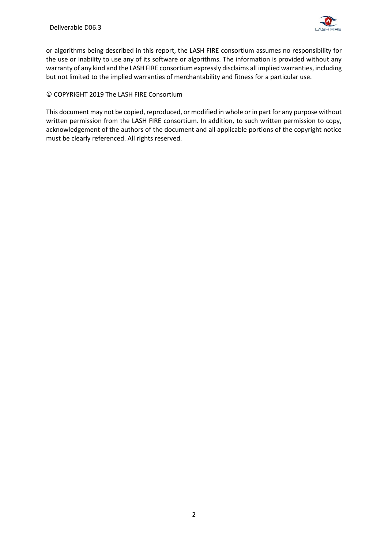

or algorithms being described in this report, the LASH FIRE consortium assumes no responsibility for the use or inability to use any of its software or algorithms. The information is provided without any warranty of any kind and the LASH FIRE consortium expressly disclaims all implied warranties, including but not limited to the implied warranties of merchantability and fitness for a particular use.

© COPYRIGHT 2019 The LASH FIRE Consortium

This document may not be copied, reproduced, or modified in whole or in part for any purpose without written permission from the LASH FIRE consortium. In addition, to such written permission to copy, acknowledgement of the authors of the document and all applicable portions of the copyright notice must be clearly referenced. All rights reserved.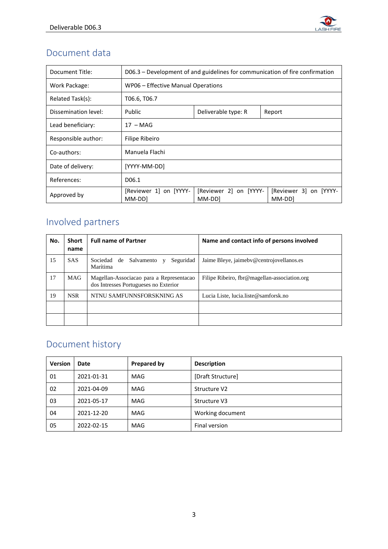

# Document data

| Document Title:                | D06.3 – Development of and guidelines for communication of fire confirmation |                                  |                                  |  |
|--------------------------------|------------------------------------------------------------------------------|----------------------------------|----------------------------------|--|
| Work Package:                  | WP06 - Effective Manual Operations                                           |                                  |                                  |  |
| Related Task(s):               | T06.6, T06.7                                                                 |                                  |                                  |  |
| Dissemination level:<br>Public |                                                                              | Deliverable type: R              | Report                           |  |
| Lead beneficiary:              | $17 - MAG$                                                                   |                                  |                                  |  |
| Responsible author:            | Filipe Ribeiro                                                               |                                  |                                  |  |
| Co-authors:                    | Manuela Flachi                                                               |                                  |                                  |  |
| Date of delivery:              | [YYYY-MM-DD]                                                                 |                                  |                                  |  |
| References:                    | D06.1                                                                        |                                  |                                  |  |
| Approved by                    | [Reviewer 1] on [YYYY-<br>MM-DD]                                             | [Reviewer 2] on [YYYY-<br>MM-DDI | [Reviewer 3] on [YYYY-<br>MM-DDI |  |

# Involved partners

| No. | <b>Short</b><br>name | <b>Full name of Partner</b>                                                       | Name and contact info of persons involved    |
|-----|----------------------|-----------------------------------------------------------------------------------|----------------------------------------------|
| 15  | <b>SAS</b>           | Seguridad<br>Sociedad de<br>Salvamento<br>$\mathbf{V}$<br>Marítima                | Jaime Bleye, jaimeby@centrojovellanos.es     |
| 17  | <b>MAG</b>           | Magellan-Associacao para a Representacao<br>dos Intresses Portugueses no Exterior | Filipe Ribeiro, fbr@magellan-association.org |
| 19  | <b>NSR</b>           | NTNU SAMFUNNSFORSKNING AS                                                         | Lucia Liste, lucia.liste@samforsk.no         |
|     |                      |                                                                                   |                                              |

# Document history

| <b>Version</b> | Date       | <b>Prepared by</b> | <b>Description</b> |  |
|----------------|------------|--------------------|--------------------|--|
| 01             | 2021-01-31 | <b>MAG</b>         | [Draft Structure]  |  |
| 02             | 2021-04-09 | <b>MAG</b>         | Structure V2       |  |
| 03             | 2021-05-17 | <b>MAG</b>         | Structure V3       |  |
| 04             | 2021-12-20 | <b>MAG</b>         | Working document   |  |
| 05             | 2022-02-15 | <b>MAG</b>         | Final version      |  |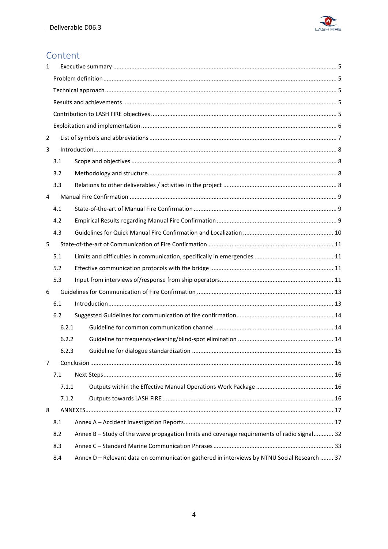

# Content

| 1 |       |                                                                                             |  |  |
|---|-------|---------------------------------------------------------------------------------------------|--|--|
|   |       |                                                                                             |  |  |
|   |       |                                                                                             |  |  |
|   |       |                                                                                             |  |  |
|   |       |                                                                                             |  |  |
|   |       |                                                                                             |  |  |
| 2 |       |                                                                                             |  |  |
| 3 |       |                                                                                             |  |  |
|   | 3.1   |                                                                                             |  |  |
|   | 3.2   |                                                                                             |  |  |
|   | 3.3   |                                                                                             |  |  |
| 4 |       |                                                                                             |  |  |
|   | 4.1   |                                                                                             |  |  |
|   | 4.2   |                                                                                             |  |  |
|   | 4.3   |                                                                                             |  |  |
| 5 |       |                                                                                             |  |  |
|   | 5.1   |                                                                                             |  |  |
|   | 5.2   |                                                                                             |  |  |
|   | 5.3   |                                                                                             |  |  |
| 6 |       |                                                                                             |  |  |
|   | 6.1   |                                                                                             |  |  |
|   | 6.2   |                                                                                             |  |  |
|   | 6.2.1 |                                                                                             |  |  |
|   | 6.2.2 |                                                                                             |  |  |
|   | 6.2.3 |                                                                                             |  |  |
| 7 |       |                                                                                             |  |  |
|   | 7.1   |                                                                                             |  |  |
|   | 7.1.1 |                                                                                             |  |  |
|   | 7.1.2 |                                                                                             |  |  |
| 8 |       |                                                                                             |  |  |
|   | 8.1   |                                                                                             |  |  |
|   | 8.2   | Annex B - Study of the wave propagation limits and coverage requirements of radio signal 32 |  |  |
|   | 8.3   |                                                                                             |  |  |
|   | 8.4   | Annex D - Relevant data on communication gathered in interviews by NTNU Social Research  37 |  |  |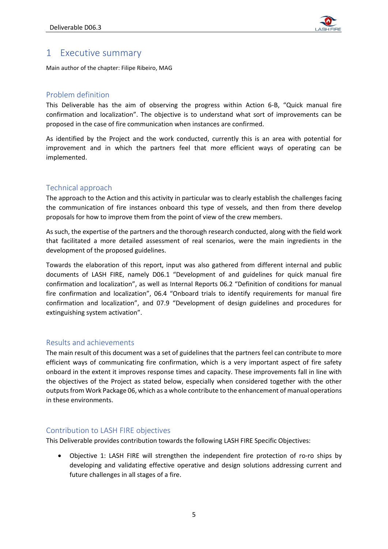

# <span id="page-5-0"></span>1 Executive summary

Main author of the chapter: Filipe Ribeiro, MAG

# <span id="page-5-1"></span>Problem definition

This Deliverable has the aim of observing the progress within Action 6-B, "Quick manual fire confirmation and localization". The objective is to understand what sort of improvements can be proposed in the case of fire communication when instances are confirmed.

As identified by the Project and the work conducted, currently this is an area with potential for improvement and in which the partners feel that more efficient ways of operating can be implemented.

# <span id="page-5-2"></span>Technical approach

The approach to the Action and this activity in particular was to clearly establish the challenges facing the communication of fire instances onboard this type of vessels, and then from there develop proposals for how to improve them from the point of view of the crew members.

As such, the expertise of the partners and the thorough research conducted, along with the field work that facilitated a more detailed assessment of real scenarios, were the main ingredients in the development of the proposed guidelines.

Towards the elaboration of this report, input was also gathered from different internal and public documents of LASH FIRE, namely D06.1 "Development of and guidelines for quick manual fire confirmation and localization", as well as Internal Reports 06.2 "Definition of conditions for manual fire confirmation and localization", 06.4 "Onboard trials to identify requirements for manual fire confirmation and localization", and 07.9 "Development of design guidelines and procedures for extinguishing system activation".

## <span id="page-5-3"></span>Results and achievements

The main result of this document was a set of guidelines that the partners feel can contribute to more efficient ways of communicating fire confirmation, which is a very important aspect of fire safety onboard in the extent it improves response times and capacity. These improvements fall in line with the objectives of the Project as stated below, especially when considered together with the other outputs from Work Package 06, which as a whole contribute to the enhancement of manual operations in these environments.

# <span id="page-5-4"></span>Contribution to LASH FIRE objectives

This Deliverable provides contribution towards the following LASH FIRE Specific Objectives:

• Objective 1: LASH FIRE will strengthen the independent fire protection of ro-ro ships by developing and validating effective operative and design solutions addressing current and future challenges in all stages of a fire.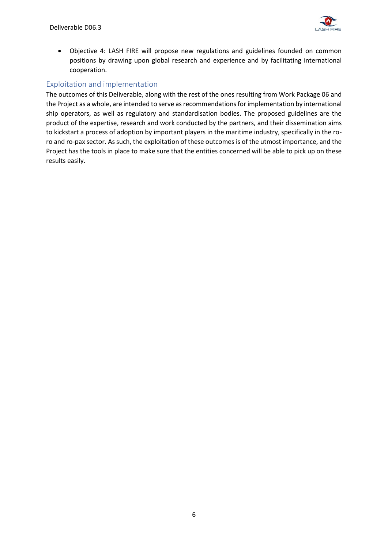

• Objective 4: LASH FIRE will propose new regulations and guidelines founded on common positions by drawing upon global research and experience and by facilitating international cooperation.

# <span id="page-6-0"></span>Exploitation and implementation

The outcomes of this Deliverable, along with the rest of the ones resulting from Work Package 06 and the Project as a whole, are intended to serve as recommendations for implementation by international ship operators, as well as regulatory and standardisation bodies. The proposed guidelines are the product of the expertise, research and work conducted by the partners, and their dissemination aims to kickstart a process of adoption by important players in the maritime industry, specifically in the roro and ro-pax sector. As such, the exploitation of these outcomes is of the utmost importance, and the Project has the tools in place to make sure that the entities concerned will be able to pick up on these results easily.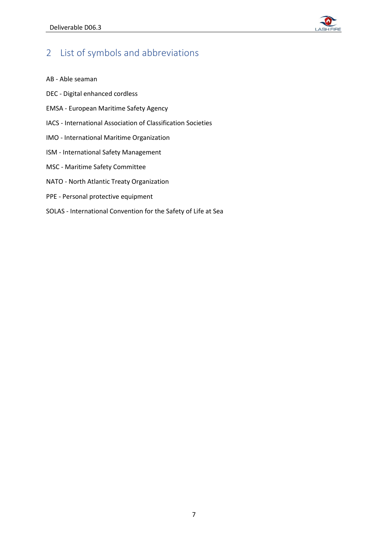

# <span id="page-7-0"></span>2 List of symbols and abbreviations

- AB Able seaman
- DEC Digital enhanced cordless
- EMSA European Maritime Safety Agency
- IACS International Association of Classification Societies
- IMO International Maritime Organization
- ISM International Safety Management
- MSC Maritime Safety Committee
- NATO North Atlantic Treaty Organization
- PPE Personal protective equipment
- SOLAS International Convention for the Safety of Life at Sea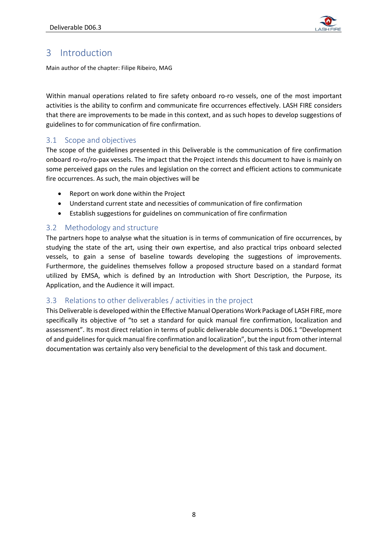

# <span id="page-8-0"></span>3 Introduction

Main author of the chapter: Filipe Ribeiro, MAG

Within manual operations related to fire safety onboard ro-ro vessels, one of the most important activities is the ability to confirm and communicate fire occurrences effectively. LASH FIRE considers that there are improvements to be made in this context, and as such hopes to develop suggestions of guidelines to for communication of fire confirmation.

## <span id="page-8-1"></span>3.1 Scope and objectives

The scope of the guidelines presented in this Deliverable is the communication of fire confirmation onboard ro-ro/ro-pax vessels. The impact that the Project intends this document to have is mainly on some perceived gaps on the rules and legislation on the correct and efficient actions to communicate fire occurrences. As such, the main objectives will be

- Report on work done within the Project
- Understand current state and necessities of communication of fire confirmation
- Establish suggestions for guidelines on communication of fire confirmation

## <span id="page-8-2"></span>3.2 Methodology and structure

The partners hope to analyse what the situation is in terms of communication of fire occurrences, by studying the state of the art, using their own expertise, and also practical trips onboard selected vessels, to gain a sense of baseline towards developing the suggestions of improvements. Furthermore, the guidelines themselves follow a proposed structure based on a standard format utilized by EMSA, which is defined by an Introduction with Short Description, the Purpose, its Application, and the Audience it will impact.

## <span id="page-8-3"></span>3.3 Relations to other deliverables / activities in the project

This Deliverable is developed within the Effective Manual Operations Work Package of LASH FIRE, more specifically its objective of "to set a standard for quick manual fire confirmation, localization and assessment". Its most direct relation in terms of public deliverable documents is D06.1 "Development of and guidelines for quick manual fire confirmation and localization", but the input from other internal documentation was certainly also very beneficial to the development of this task and document.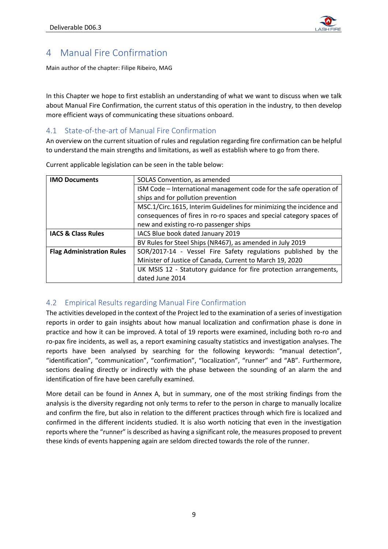

# <span id="page-9-0"></span>4 Manual Fire Confirmation

Main author of the chapter: Filipe Ribeiro, MAG

In this Chapter we hope to first establish an understanding of what we want to discuss when we talk about Manual Fire Confirmation, the current status of this operation in the industry, to then develop more efficient ways of communicating these situations onboard.

# <span id="page-9-1"></span>4.1 State-of-the-art of Manual Fire Confirmation

An overview on the current situation of rules and regulation regarding fire confirmation can be helpful to understand the main strengths and limitations, as well as establish where to go from there.

| <b>IMO Documents</b>             | SOLAS Convention, as amended                                         |  |  |
|----------------------------------|----------------------------------------------------------------------|--|--|
|                                  | ISM Code - International management code for the safe operation of   |  |  |
|                                  | ships and for pollution prevention                                   |  |  |
|                                  | MSC.1/Circ.1615, Interim Guidelines for minimizing the incidence and |  |  |
|                                  | consequences of fires in ro-ro spaces and special category spaces of |  |  |
|                                  | new and existing ro-ro passenger ships                               |  |  |
| <b>IACS &amp; Class Rules</b>    | IACS Blue book dated January 2019                                    |  |  |
|                                  | BV Rules for Steel Ships (NR467), as amended in July 2019            |  |  |
| <b>Flag Administration Rules</b> | SOR/2017-14 - Vessel Fire Safety regulations published by the        |  |  |
|                                  | Minister of Justice of Canada, Current to March 19, 2020             |  |  |
|                                  | UK MSIS 12 - Statutory guidance for fire protection arrangements,    |  |  |
|                                  | dated June 2014                                                      |  |  |

Current applicable legislation can be seen in the table below:

# <span id="page-9-2"></span>4.2 Empirical Results regarding Manual Fire Confirmation

The activities developed in the context of the Project led to the examination of a series of investigation reports in order to gain insights about how manual localization and confirmation phase is done in practice and how it can be improved. A total of 19 reports were examined, including both ro-ro and ro-pax fire incidents, as well as, a report examining casualty statistics and investigation analyses. The reports have been analysed by searching for the following keywords: "manual detection", "identification", "communication", "confirmation", "localization", "runner" and "AB". Furthermore, sections dealing directly or indirectly with the phase between the sounding of an alarm the and identification of fire have been carefully examined.

More detail can be found in Annex A, but in summary, one of the most striking findings from the analysis is the diversity regarding not only terms to refer to the person in charge to manually localize and confirm the fire, but also in relation to the different practices through which fire is localized and confirmed in the different incidents studied. It is also worth noticing that even in the investigation reports where the "runner" is described as having a significant role, the measures proposed to prevent these kinds of events happening again are seldom directed towards the role of the runner.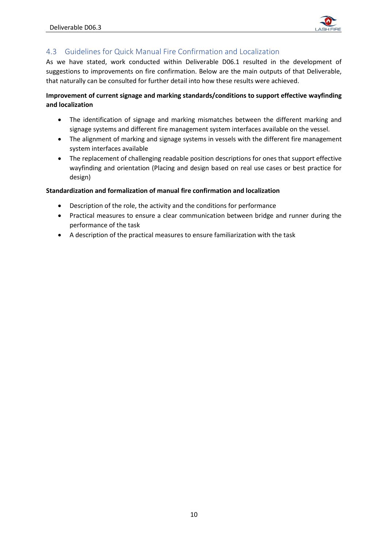

# <span id="page-10-0"></span>4.3 Guidelines for Quick Manual Fire Confirmation and Localization

As we have stated, work conducted within Deliverable D06.1 resulted in the development of suggestions to improvements on fire confirmation. Below are the main outputs of that Deliverable, that naturally can be consulted for further detail into how these results were achieved.

## **Improvement of current signage and marking standards/conditions to support effective wayfinding and localization**

- The identification of signage and marking mismatches between the different marking and signage systems and different fire management system interfaces available on the vessel.
- The alignment of marking and signage systems in vessels with the different fire management system interfaces available
- The replacement of challenging readable position descriptions for ones that support effective wayfinding and orientation (Placing and design based on real use cases or best practice for design)

## **Standardization and formalization of manual fire confirmation and localization**

- Description of the role, the activity and the conditions for performance
- Practical measures to ensure a clear communication between bridge and runner during the performance of the task
- A description of the practical measures to ensure familiarization with the task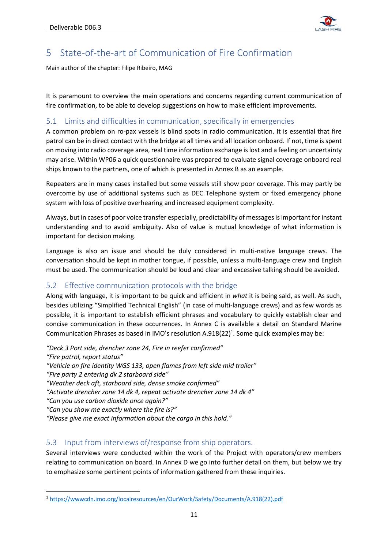

# <span id="page-11-0"></span>5 State-of-the-art of Communication of Fire Confirmation

Main author of the chapter: Filipe Ribeiro, MAG

It is paramount to overview the main operations and concerns regarding current communication of fire confirmation, to be able to develop suggestions on how to make efficient improvements.

# <span id="page-11-1"></span>5.1 Limits and difficulties in communication, specifically in emergencies

A common problem on ro-pax vessels is blind spots in radio communication. It is essential that fire patrol can be in direct contact with the bridge at all times and all location onboard. If not, time is spent on moving into radio coverage area, real time information exchange is lost and a feeling on uncertainty may arise. Within WP06 a quick questionnaire was prepared to evaluate signal coverage onboard real ships known to the partners, one of which is presented in Annex B as an example.

Repeaters are in many cases installed but some vessels still show poor coverage. This may partly be overcome by use of additional systems such as DEC Telephone system or fixed emergency phone system with loss of positive overhearing and increased equipment complexity.

Always, but in cases of poor voice transfer especially, predictability of messages is important for instant understanding and to avoid ambiguity. Also of value is mutual knowledge of what information is important for decision making.

Language is also an issue and should be duly considered in multi-native language crews. The conversation should be kept in mother tongue, if possible, unless a multi-language crew and English must be used. The communication should be loud and clear and excessive talking should be avoided.

# <span id="page-11-2"></span>5.2 Effective communication protocols with the bridge

Along with language, it is important to be quick and efficient in *what* it is being said, as well. As such, besides utilizing "Simplified Technical English" (in case of multi-language crews) and as few words as possible, it is important to establish efficient phrases and vocabulary to quickly establish clear and concise communication in these occurrences. In Annex C is available a detail on Standard Marine Communication Phrases as based in IMO's resolution A.918(22)<sup>1</sup>. Some quick examples may be:

*"Deck 3 Port side, drencher zone 24, Fire in reefer confirmed" "Fire patrol, report status" "Vehicle on fire identity WGS 133, open flames from left side mid trailer" "Fire party 2 entering dk 2 starboard side" "Weather deck aft, starboard side, dense smoke confirmed" "Activate drencher zone 14 dk 4, repeat activate drencher zone 14 dk 4" "Can you use carbon dioxide once again?" "Can you show me exactly where the fire is?" "Please give me exact information about the cargo in this hold."*

# <span id="page-11-3"></span>5.3 Input from interviews of/response from ship operators.

Several interviews were conducted within the work of the Project with operators/crew members relating to communication on board. In Annex D we go into further detail on them, but below we try to emphasize some pertinent points of information gathered from these inquiries.

<sup>1</sup> [https://wwwcdn.imo.org/localresources/en/OurWork/Safety/Documents/A.918\(22\).pdf](https://wwwcdn.imo.org/localresources/en/OurWork/Safety/Documents/A.918(22).pdf)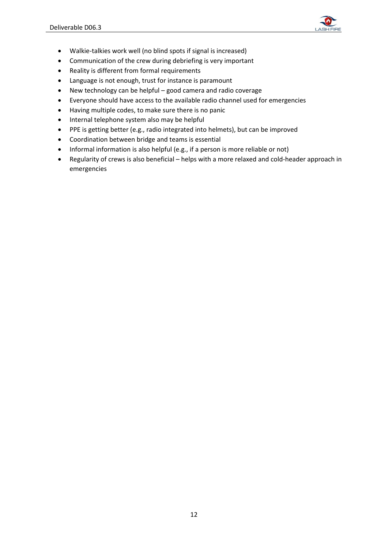

- Walkie-talkies work well (no blind spots if signal is increased)
- Communication of the crew during debriefing is very important
- Reality is different from formal requirements
- Language is not enough, trust for instance is paramount
- New technology can be helpful good camera and radio coverage
- Everyone should have access to the available radio channel used for emergencies
- Having multiple codes, to make sure there is no panic
- Internal telephone system also may be helpful
- PPE is getting better (e.g., radio integrated into helmets), but can be improved
- Coordination between bridge and teams is essential
- Informal information is also helpful (e.g., if a person is more reliable or not)
- Regularity of crews is also beneficial helps with a more relaxed and cold-header approach in emergencies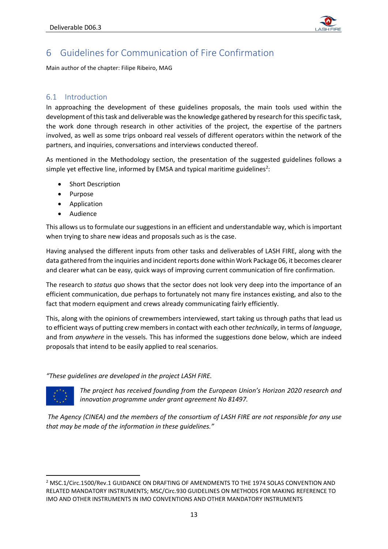

# <span id="page-13-0"></span>6 Guidelines for Communication of Fire Confirmation

Main author of the chapter: Filipe Ribeiro, MAG

# <span id="page-13-1"></span>6.1 Introduction

In approaching the development of these guidelines proposals, the main tools used within the development of this task and deliverable was the knowledge gathered by research for this specific task, the work done through research in other activities of the project, the expertise of the partners involved, as well as some trips onboard real vessels of different operators within the network of the partners, and inquiries, conversations and interviews conducted thereof.

As mentioned in the Methodology section, the presentation of the suggested guidelines follows a simple yet effective line, informed by EMSA and typical maritime guidelines<sup>2</sup>:

- Short Description
- Purpose
- **Application**
- Audience

This allows us to formulate our suggestions in an efficient and understandable way, which is important when trying to share new ideas and proposals such as is the case.

Having analysed the different inputs from other tasks and deliverables of LASH FIRE, along with the data gathered from the inquiries and incident reports done within Work Package 06, it becomes clearer and clearer what can be easy, quick ways of improving current communication of fire confirmation.

The research to *status quo* shows that the sector does not look very deep into the importance of an efficient communication, due perhaps to fortunately not many fire instances existing, and also to the fact that modern equipment and crews already communicating fairly efficiently.

This, along with the opinions of crewmembers interviewed, start taking us through paths that lead us to efficient ways of putting crew members in contact with each other *technically*, in terms of *language*, and from *anywhere* in the vessels. This has informed the suggestions done below, which are indeed proposals that intend to be easily applied to real scenarios.

#### *"These guidelines are developed in the project LASH FIRE.*



*The project has received founding from the European Union's Horizon 2020 research and innovation programme under grant agreement No 81497.*

*The Agency (CINEA) and the members of the consortium of LASH FIRE are not responsible for any use that may be made of the information in these guidelines."*

<sup>2</sup> MSC.1/Circ.1500/Rev.1 GUIDANCE ON DRAFTING OF AMENDMENTS TO THE 1974 SOLAS CONVENTION AND RELATED MANDATORY INSTRUMENTS; MSC/Circ.930 GUIDELINES ON METHODS FOR MAKING REFERENCE TO IMO AND OTHER INSTRUMENTS IN IMO CONVENTIONS AND OTHER MANDATORY INSTRUMENTS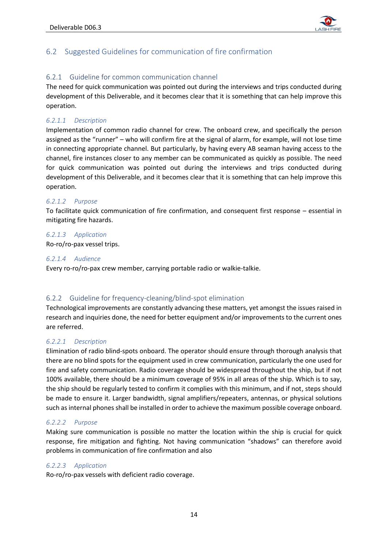

# <span id="page-14-0"></span>6.2 Suggested Guidelines for communication of fire confirmation

## <span id="page-14-1"></span>6.2.1 Guideline for common communication channel

The need for quick communication was pointed out during the interviews and trips conducted during development of this Deliverable, and it becomes clear that it is something that can help improve this operation.

#### *6.2.1.1 Description*

Implementation of common radio channel for crew. The onboard crew, and specifically the person assigned as the "runner" – who will confirm fire at the signal of alarm, for example, will not lose time in connecting appropriate channel. But particularly, by having every AB seaman having access to the channel, fire instances closer to any member can be communicated as quickly as possible. The need for quick communication was pointed out during the interviews and trips conducted during development of this Deliverable, and it becomes clear that it is something that can help improve this operation.

#### *6.2.1.2 Purpose*

To facilitate quick communication of fire confirmation, and consequent first response – essential in mitigating fire hazards.

#### *6.2.1.3 Application*

Ro-ro/ro-pax vessel trips.

#### *6.2.1.4 Audience*

Every ro-ro/ro-pax crew member, carrying portable radio or walkie-talkie.

## <span id="page-14-2"></span>6.2.2 Guideline for frequency-cleaning/blind-spot elimination

Technological improvements are constantly advancing these matters, yet amongst the issues raised in research and inquiries done, the need for better equipment and/or improvements to the current ones are referred.

## *6.2.2.1 Description*

Elimination of radio blind-spots onboard. The operator should ensure through thorough analysis that there are no blind spots for the equipment used in crew communication, particularly the one used for fire and safety communication. Radio coverage should be widespread throughout the ship, but if not 100% available, there should be a minimum coverage of 95% in all areas of the ship. Which is to say, the ship should be regularly tested to confirm it complies with this minimum, and if not, steps should be made to ensure it. Larger bandwidth, signal amplifiers/repeaters, antennas, or physical solutions such as internal phones shall be installed in order to achieve the maximum possible coverage onboard.

#### *6.2.2.2 Purpose*

Making sure communication is possible no matter the location within the ship is crucial for quick response, fire mitigation and fighting. Not having communication "shadows" can therefore avoid problems in communication of fire confirmation and also

#### *6.2.2.3 Application*

Ro-ro/ro-pax vessels with deficient radio coverage.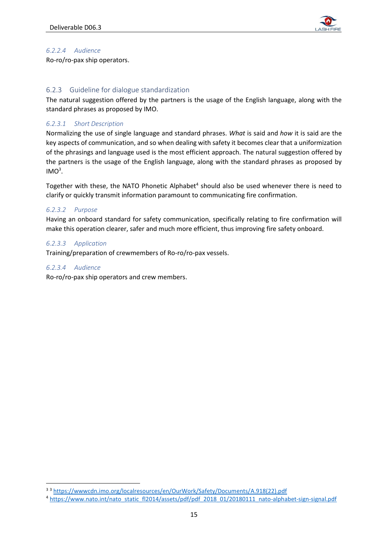

## *6.2.2.4 Audience*

Ro-ro/ro-pax ship operators.

#### <span id="page-15-0"></span>6.2.3 Guideline for dialogue standardization

The natural suggestion offered by the partners is the usage of the English language, along with the standard phrases as proposed by IMO.

## *6.2.3.1 Short Description*

Normalizing the use of single language and standard phrases. *What* is said and *how* it is said are the key aspects of communication, and so when dealing with safety it becomes clear that a uniformization of the phrasings and language used is the most efficient approach. The natural suggestion offered by the partners is the usage of the English language, along with the standard phrases as proposed by  $IMO<sup>3</sup>$ .

Together with these, the NATO Phonetic Alphabet<sup>4</sup> should also be used whenever there is need to clarify or quickly transmit information paramount to communicating fire confirmation.

#### *6.2.3.2 Purpose*

Having an onboard standard for safety communication, specifically relating to fire confirmation will make this operation clearer, safer and much more efficient, thus improving fire safety onboard.

#### *6.2.3.3 Application*

Training/preparation of crewmembers of Ro-ro/ro-pax vessels.

#### *6.2.3.4 Audience*

Ro-ro/ro-pax ship operators and crew members.

<sup>3</sup> <sup>3</sup> [https://wwwcdn.imo.org/localresources/en/OurWork/Safety/Documents/A.918\(22\).pdf](https://wwwcdn.imo.org/localresources/en/OurWork/Safety/Documents/A.918(22).pdf)

<sup>4</sup> [https://www.nato.int/nato\\_static\\_fl2014/assets/pdf/pdf\\_2018\\_01/20180111\\_nato-alphabet-sign-signal.pdf](https://www.nato.int/nato_static_fl2014/assets/pdf/pdf_2018_01/20180111_nato-alphabet-sign-signal.pdf)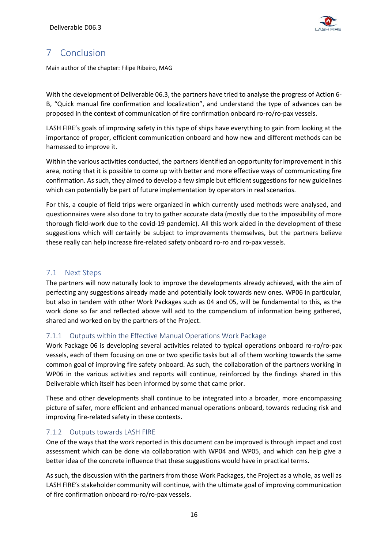

# <span id="page-16-0"></span>7 Conclusion

Main author of the chapter: Filipe Ribeiro, MAG

With the development of Deliverable 06.3, the partners have tried to analyse the progress of Action 6- B, "Quick manual fire confirmation and localization", and understand the type of advances can be proposed in the context of communication of fire confirmation onboard ro-ro/ro-pax vessels.

LASH FIRE's goals of improving safety in this type of ships have everything to gain from looking at the importance of proper, efficient communication onboard and how new and different methods can be harnessed to improve it.

Within the various activities conducted, the partners identified an opportunity for improvement in this area, noting that it is possible to come up with better and more effective ways of communicating fire confirmation. As such, they aimed to develop a few simple but efficient suggestions for new guidelines which can potentially be part of future implementation by operators in real scenarios.

For this, a couple of field trips were organized in which currently used methods were analysed, and questionnaires were also done to try to gather accurate data (mostly due to the impossibility of more thorough field-work due to the covid-19 pandemic). All this work aided in the development of these suggestions which will certainly be subject to improvements themselves, but the partners believe these really can help increase fire-related safety onboard ro-ro and ro-pax vessels.

# <span id="page-16-1"></span>7.1 Next Steps

The partners will now naturally look to improve the developments already achieved, with the aim of perfecting any suggestions already made and potentially look towards new ones. WP06 in particular, but also in tandem with other Work Packages such as 04 and 05, will be fundamental to this, as the work done so far and reflected above will add to the compendium of information being gathered, shared and worked on by the partners of the Project.

# <span id="page-16-2"></span>7.1.1 Outputs within the Effective Manual Operations Work Package

Work Package 06 is developing several activities related to typical operations onboard ro-ro/ro-pax vessels, each of them focusing on one or two specific tasks but all of them working towards the same common goal of improving fire safety onboard. As such, the collaboration of the partners working in WP06 in the various activities and reports will continue, reinforced by the findings shared in this Deliverable which itself has been informed by some that came prior.

These and other developments shall continue to be integrated into a broader, more encompassing picture of safer, more efficient and enhanced manual operations onboard, towards reducing risk and improving fire-related safety in these contexts.

# <span id="page-16-3"></span>7.1.2 Outputs towards LASH FIRE

One of the ways that the work reported in this document can be improved is through impact and cost assessment which can be done via collaboration with WP04 and WP05, and which can help give a better idea of the concrete influence that these suggestions would have in practical terms.

As such, the discussion with the partners from those Work Packages, the Project as a whole, as well as LASH FIRE's stakeholder community will continue, with the ultimate goal of improving communication of fire confirmation onboard ro-ro/ro-pax vessels.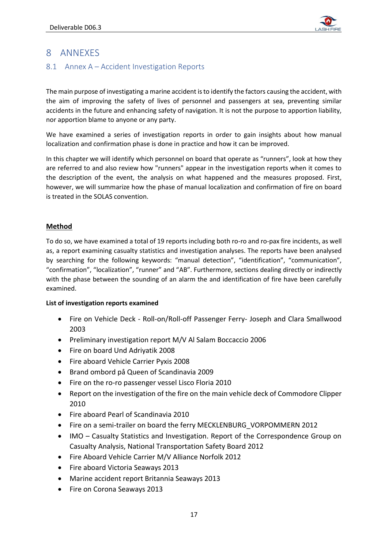

# <span id="page-17-0"></span>8 ANNEXES

# <span id="page-17-1"></span>8.1 Annex A – Accident Investigation Reports

The main purpose of investigating a marine accident is to identify the factors causing the accident, with the aim of improving the safety of lives of personnel and passengers at sea, preventing similar accidents in the future and enhancing safety of navigation. It is not the purpose to apportion liability, nor apportion blame to anyone or any party.

We have examined a series of investigation reports in order to gain insights about how manual localization and confirmation phase is done in practice and how it can be improved.

In this chapter we will identify which personnel on board that operate as "runners", look at how they are referred to and also review how "runners" appear in the investigation reports when it comes to the description of the event, the analysis on what happened and the measures proposed. First, however, we will summarize how the phase of manual localization and confirmation of fire on board is treated in the SOLAS convention.

## **Method**

To do so, we have examined a total of 19 reports including both ro-ro and ro-pax fire incidents, as well as, a report examining casualty statistics and investigation analyses. The reports have been analysed by searching for the following keywords: "manual detection", "identification", "communication", "confirmation", "localization", "runner" and "AB". Furthermore, sections dealing directly or indirectly with the phase between the sounding of an alarm the and identification of fire have been carefully examined.

## **List of investigation reports examined**

- Fire on Vehicle Deck Roll-on/Roll-off Passenger Ferry- Joseph and Clara Smallwood 2003
- Preliminary investigation report M/V Al Salam Boccaccio 2006
- Fire on board Und Adriyatik 2008
- Fire aboard Vehicle Carrier Pyxis 2008
- Brand ombord på Queen of Scandinavia 2009
- Fire on the ro-ro passenger vessel Lisco Floria 2010
- Report on the investigation of the fire on the main vehicle deck of Commodore Clipper 2010
- Fire aboard Pearl of Scandinavia 2010
- Fire on a semi-trailer on board the ferry MECKLENBURG\_VORPOMMERN 2012
- IMO Casualty Statistics and Investigation. Report of the Correspondence Group on Casualty Analysis, National Transportation Safety Board 2012
- Fire Aboard Vehicle Carrier M/V Alliance Norfolk 2012
- Fire aboard Victoria Seaways 2013
- Marine accident report Britannia Seaways 2013
- Fire on Corona Seaways 2013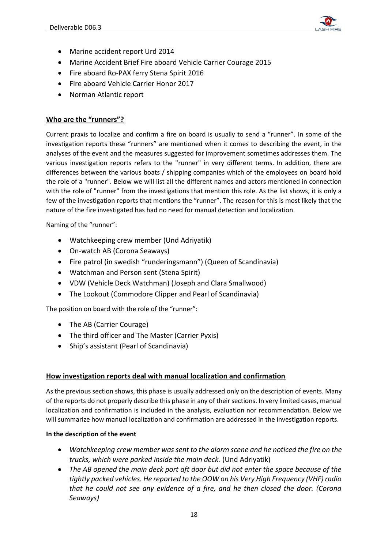

- Marine accident report Urd 2014
- Marine Accident Brief Fire aboard Vehicle Carrier Courage 2015
- Fire aboard Ro-PAX ferry Stena Spirit 2016
- Fire aboard Vehicle Carrier Honor 2017
- Norman Atlantic report

## **Who are the "runners"?**

Current praxis to localize and confirm a fire on board is usually to send a "runner". In some of the investigation reports these "runners" are mentioned when it comes to describing the event, in the analyses of the event and the measures suggested for improvement sometimes addresses them. The various investigation reports refers to the "runner" in very different terms. In addition, there are differences between the various boats / shipping companies which of the employees on board hold the role of a "runner". Below we will list all the different names and actors mentioned in connection with the role of "runner" from the investigations that mention this role. As the list shows, it is only a few of the investigation reports that mentions the "runner". The reason for this is most likely that the nature of the fire investigated has had no need for manual detection and localization.

Naming of the "runner":

- Watchkeeping crew member (Und Adriyatik)
- On-watch AB (Corona Seaways)
- Fire patrol (in swedish "runderingsmann") (Queen of Scandinavia)
- Watchman and Person sent (Stena Spirit)
- VDW (Vehicle Deck Watchman) (Joseph and Clara Smallwood)
- The Lookout (Commodore Clipper and Pearl of Scandinavia)

The position on board with the role of the "runner":

- The AB (Carrier Courage)
- The third officer and The Master (Carrier Pyxis)
- Ship's assistant (Pearl of Scandinavia)

## **How investigation reports deal with manual localization and confirmation**

As the previous section shows, this phase is usually addressed only on the description of events. Many of the reports do not properly describe this phase in any of their sections. In very limited cases, manual localization and confirmation is included in the analysis, evaluation nor recommendation. Below we will summarize how manual localization and confirmation are addressed in the investigation reports.

#### **In the description of the event**

- *Watchkeeping crew member was sent to the alarm scene and he noticed the fire on the trucks, which were parked inside the main deck.* (Und Adriyatik)
- *The AB opened the main deck port aft door but did not enter the space because of the tightly packed vehicles. He reported to the OOW on his Very High Frequency (VHF) radio that he could not see any evidence of a fire, and he then closed the door. (Corona Seaways)*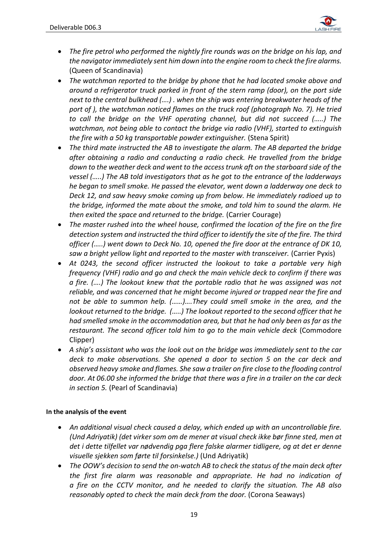

- *The fire petrol who performed the nightly fire rounds was on the bridge on his lap, and the navigator immediately sent him down into the engine room to check the fire alarms.*  (Queen of Scandinavia)
- *The watchman reported to the bridge by phone that he had located smoke above and around a refrigerator truck parked in front of the stern ramp (door), on the port side next to the central bulkhead (….) . when the ship was entering breakwater heads of the port of ), the watchman noticed flames on the truck roof (photograph No. 7). He tried to call the bridge on the VHF operating channel, but did not succeed (…..) The watchman, not being able to contact the bridge via radio (VHF), started to extinguish the fire with a 50 kg transportable powder extinguisher.* (Stena Spirit)
- *The third mate instructed the AB to investigate the alarm. The AB departed the bridge after obtaining a radio and conducting a radio check. He travelled from the bridge down to the weather deck and went to the access trunk aft on the starboard side of the vessel (…..) The AB told investigators that as he got to the entrance of the ladderways he began to smell smoke. He passed the elevator, went down a ladderway one deck to Deck 12, and saw heavy smoke coming up from below. He immediately radioed up to the bridge, informed the mate about the smoke, and told him to sound the alarm. He then exited the space and returned to the bridge.* (Carrier Courage)
- *The master rushed into the wheel house, confirmed the location of the fire on the fire detection system and instructed the third officer to identify the site of the fire. The third officer (…..) went down to Deck No. 10, opened the fire door at the entrance of DK 10, saw a bright yellow light and reported to the master with transceiver.* (Carrier Pyxis)
- *At 0243, the second officer instructed the lookout to take a portable very high frequency (VHF) radio and go and check the main vehicle deck to confirm if there was a fire. (….) The lookout knew that the portable radio that he was assigned was not reliable, and was concerned that he might become injured or trapped near the fire and not be able to summon help. (……)….They could smell smoke in the area, and the lookout returned to the bridge. (…..) The lookout reported to the second officer that he had smelled smoke in the accommodation area, but that he had only been as far as the restaurant. The second officer told him to go to the main vehicle deck* (Commodore Clipper)
- *A ship's assistant who was the look out on the bridge was immediately sent to the car deck to make observations. She opened a door to section 5 on the car deck and observed heavy smoke and flames. She saw a trailer on fire close to the flooding control door. At 06.00 she informed the bridge that there was a fire in a trailer on the car deck in section 5.* (Pearl of Scandinavia)

## **In the analysis of the event**

- *An additional visual check caused a delay, which ended up with an uncontrollable fire. (Und Adriyatik) (det virker som om de mener at visual check ikke bør finne sted, men at det i dette tilfellet var nødvendig pga flere falske alarmer tidligere, og at det er denne visuelle sjekken som førte til forsinkelse.)* (Und Adriyatik)
- *The OOW's decision to send the on-watch AB to check the status of the main deck after the first fire alarm was reasonable and appropriate. He had no indication of a fire on the CCTV monitor, and he needed to clarify the situation. The AB also reasonably opted to check the main deck from the door.* (Corona Seaways)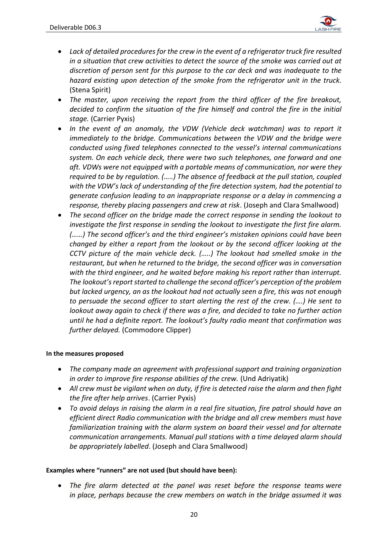

- *Lack of detailed procedures for the crew in the event of a refrigerator truck fire resulted in a situation that crew activities to detect the source of the smoke was carried out at discretion of person sent for this purpose to the car deck and was inadequate to the hazard existing upon detection of the smoke from the refrigerator unit in the truck.* (Stena Spirit)
- *The master, upon receiving the report from the third officer of the fire breakout, decided to confirm the situation of the fire himself and control the fire in the initial stage.* (Carrier Pyxis)
- *In the event of an anomaly, the VDW (Vehicle deck watchman) was to report it immediately to the bridge. Communications between the VDW and the bridge were conducted using fixed telephones connected to the vessel's internal communications system. On each vehicle deck, there were two such telephones, one forward and one aft. VDWs were not equipped with a portable means of communication, nor were they required to be by regulation. (…..) The absence of feedback at the pull station, coupled with the VDW's lack of understanding of the fire detection system, had the potential to generate confusion leading to an inappropriate response or a delay in commencing a response, thereby placing passengers and crew at risk*. (Joseph and Clara Smallwood)
- *The second officer on the bridge made the correct response in sending the lookout to investigate the first response in sending the lookout to investigate the first fire alarm. (……) The second officer's and the third engineer's mistaken opinions could have been changed by either a report from the lookout or by the second officer looking at the CCTV picture of the main vehicle deck. (…..) The lookout had smelled smoke in the restaurant, but when he returned to the bridge, the second officer was in conversation with the third engineer, and he waited before making his report rather than interrupt. The lookout's report started to challenge the second officer's perception of the problem but lacked urgency, an as the lookout had not actually seen a fire, this was not enough to persuade the second officer to start alerting the rest of the crew. (….) He sent to lookout away again to check if there was a fire, and decided to take no further action until he had a definite report. The lookout's faulty radio meant that confirmation was further delayed.* (Commodore Clipper)

## **In the measures proposed**

- *The company made an agreement with professional support and training organization in order to improve fire response abilities of the crew.* (Und Adriyatik)
- *All crew must be vigilant when on duty, if fire is detected raise the alarm and then fight the fire after help arrives*. (Carrier Pyxis)
- *To avoid delays in raising the alarm in a real fire situation, fire patrol should have an efficient direct Radio communication with the bridge and all crew members must have familiarization training with the alarm system on board their vessel and for alternate communication arrangements. Manual pull stations with a time delayed alarm should be appropriately labelled*. (Joseph and Clara Smallwood)

## **Examples where "runners" are not used (but should have been):**

• *The fire alarm detected at the panel was reset before the response teams were in place, perhaps because the crew members on watch in the bridge assumed it was*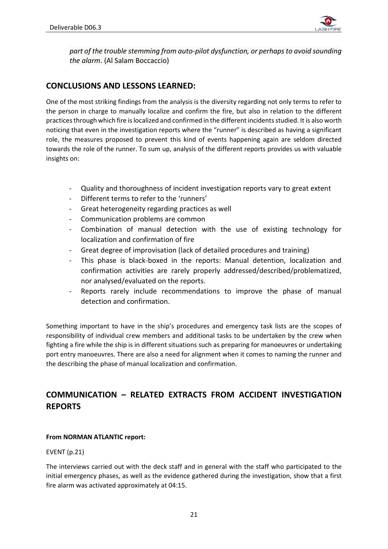

*part of the trouble stemming from auto-pilot dysfunction, or perhaps to avoid sounding the alarm*. (Al Salam Boccaccio)

# **CONCLUSIONS AND LESSONS LEARNED:**

One of the most striking findings from the analysis is the diversity regarding not only terms to refer to the person in charge to manually localize and confirm the fire, but also in relation to the different practices through which fire is localized and confirmed in the different incidents studied. It is also worth noticing that even in the investigation reports where the "runner" is described as having a significant role, the measures proposed to prevent this kind of events happening again are seldom directed towards the role of the runner. To sum up, analysis of the different reports provides us with valuable insights on:

- Quality and thoroughness of incident investigation reports vary to great extent
- Different terms to refer to the 'runners'
- Great heterogeneity regarding practices as well
- Communication problems are common
- Combination of manual detection with the use of existing technology for localization and confirmation of fire
- Great degree of improvisation (lack of detailed procedures and training)
- This phase is black-boxed in the reports: Manual detention, localization and confirmation activities are rarely properly addressed/described/problematized, nor analysed/evaluated on the reports.
- Reports rarely include recommendations to improve the phase of manual detection and confirmation.

Something important to have in the ship's procedures and emergency task lists are the scopes of responsibility of individual crew members and additional tasks to be undertaken by the crew when fighting a fire while the ship is in different situations such as preparing for manoeuvres or undertaking port entry manoeuvres. There are also a need for alignment when it comes to naming the runner and the describing the phase of manual localization and confirmation.

# **COMMUNICATION – RELATED EXTRACTS FROM ACCIDENT INVESTIGATION REPORTS**

## **From NORMAN ATLANTIC report:**

## EVENT (p.21)

The interviews carried out with the deck staff and in general with the staff who participated to the initial emergency phases, as well as the evidence gathered during the investigation, show that a first fire alarm was activated approximately at 04:15.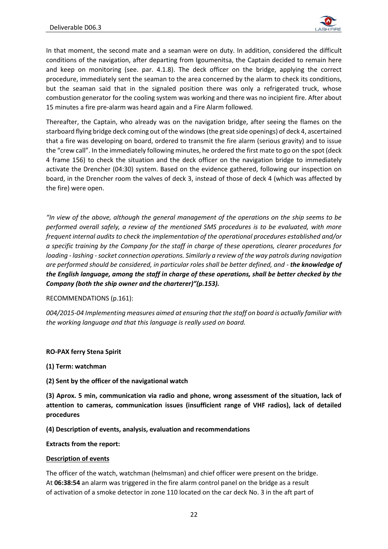

In that moment, the second mate and a seaman were on duty. In addition, considered the difficult conditions of the navigation, after departing from Igoumenitsa, the Captain decided to remain here and keep on monitoring (see. par. 4.1.8). The deck officer on the bridge, applying the correct procedure, immediately sent the seaman to the area concerned by the alarm to check its conditions, but the seaman said that in the signaled position there was only a refrigerated truck, whose combustion generator for the cooling system was working and there was no incipient fire. After about 15 minutes a fire pre-alarm was heard again and a Fire Alarm followed.

Thereafter, the Captain, who already was on the navigation bridge, after seeing the flames on the starboard flying bridge deck coming out of the windows (the great side openings) of deck 4, ascertained that a fire was developing on board, ordered to transmit the fire alarm (serious gravity) and to issue the "crew call". In the immediately following minutes, he ordered the first mate to go on the spot (deck 4 frame 156) to check the situation and the deck officer on the navigation bridge to immediately activate the Drencher (04:30) system. Based on the evidence gathered, following our inspection on board, in the Drencher room the valves of deck 3, instead of those of deck 4 (which was affected by the fire) were open.

*"In view of the above, although the general management of the operations on the ship seems to be performed overall safely, a review of the mentioned SMS procedures is to be evaluated, with more frequent internal audits to check the implementation of the operational procedures established and/or a specific training by the Company for the staff in charge of these operations, clearer procedures for loading - lashing -socket connection operations. Similarly a review of the way patrols during navigation are performed should be considered, in particular roles shall be better defined, and - the knowledge of the English language, among the staff in charge of these operations, shall be better checked by the Company (both the ship owner and the charterer)"(p.153).*

#### RECOMMENDATIONS (p.161):

*004/2015-04 Implementing measures aimed at ensuring that the staff on board is actually familiar with the working language and that this language is really used on board.*

#### **RO-PAX ferry Stena Spirit**

**(1) Term: watchman**

**(2) Sent by the officer of the navigational watch** 

**(3) Aprox. 5 min, communication via radio and phone, wrong assessment of the situation, lack of attention to cameras, communication issues (insufficient range of VHF radios), lack of detailed procedures**

**(4) Description of events, analysis, evaluation and recommendations**

**Extracts from the report:** 

#### **Description of events**

The officer of the watch, watchman (helmsman) and chief officer were present on the bridge. At **06:38:54** an alarm was triggered in the fire alarm control panel on the bridge as a result of activation of a smoke detector in zone 110 located on the car deck No. 3 in the aft part of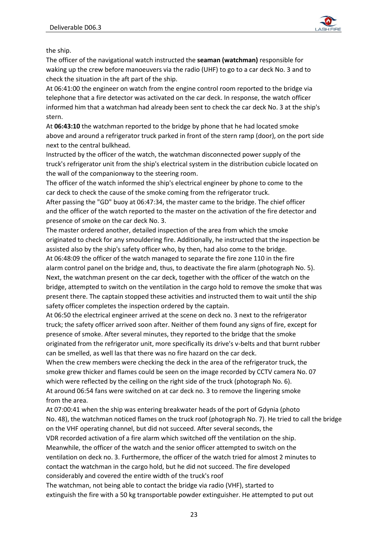

the ship.

The officer of the navigational watch instructed the **seaman (watchman)** responsible for waking up the crew before manoeuvers via the radio (UHF) to go to a car deck No. 3 and to check the situation in the aft part of the ship.

At 06:41:00 the engineer on watch from the engine control room reported to the bridge via telephone that a fire detector was activated on the car deck. In response, the watch officer informed him that a watchman had already been sent to check the car deck No. 3 at the ship's stern.

At **06:43:10** the watchman reported to the bridge by phone that he had located smoke above and around a refrigerator truck parked in front of the stern ramp (door), on the port side next to the central bulkhead.

Instructed by the officer of the watch, the watchman disconnected power supply of the truck's refrigerator unit from the ship's electrical system in the distribution cubicle located on the wall of the companionway to the steering room.

The officer of the watch informed the ship's electrical engineer by phone to come to the car deck to check the cause of the smoke coming from the refrigerator truck.

After passing the "GD" buoy at 06:47:34, the master came to the bridge. The chief officer and the officer of the watch reported to the master on the activation of the fire detector and presence of smoke on the car deck No. 3.

The master ordered another, detailed inspection of the area from which the smoke originated to check for any smouldering fire. Additionally, he instructed that the inspection be assisted also by the ship's safety officer who, by then, had also come to the bridge. At 06:48:09 the officer of the watch managed to separate the fire zone 110 in the fire alarm control panel on the bridge and, thus, to deactivate the fire alarm (photograph No. 5). Next, the watchman present on the car deck, together with the officer of the watch on the bridge, attempted to switch on the ventilation in the cargo hold to remove the smoke that was present there. The captain stopped these activities and instructed them to wait until the ship safety officer completes the inspection ordered by the captain.

At 06:50 the electrical engineer arrived at the scene on deck no. 3 next to the refrigerator truck; the safety officer arrived soon after. Neither of them found any signs of fire, except for presence of smoke. After several minutes, they reported to the bridge that the smoke originated from the refrigerator unit, more specifically its drive's v-belts and that burnt rubber can be smelled, as well las that there was no fire hazard on the car deck.

When the crew members were checking the deck in the area of the refrigerator truck, the smoke grew thicker and flames could be seen on the image recorded by CCTV camera No. 07 which were reflected by the ceiling on the right side of the truck (photograph No. 6). At around 06:54 fans were switched on at car deck no. 3 to remove the lingering smoke from the area.

At 07:00:41 when the ship was entering breakwater heads of the port of Gdynia (photo No. 48), the watchman noticed flames on the truck roof (photograph No. 7). He tried to call the bridge on the VHF operating channel, but did not succeed. After several seconds, the VDR recorded activation of a fire alarm which switched off the ventilation on the ship. Meanwhile, the officer of the watch and the senior officer attempted to switch on the ventilation on deck no. 3. Furthermore, the officer of the watch tried for almost 2 minutes to contact the watchman in the cargo hold, but he did not succeed. The fire developed considerably and covered the entire width of the truck's roof

The watchman, not being able to contact the bridge via radio (VHF), started to extinguish the fire with a 50 kg transportable powder extinguisher. He attempted to put out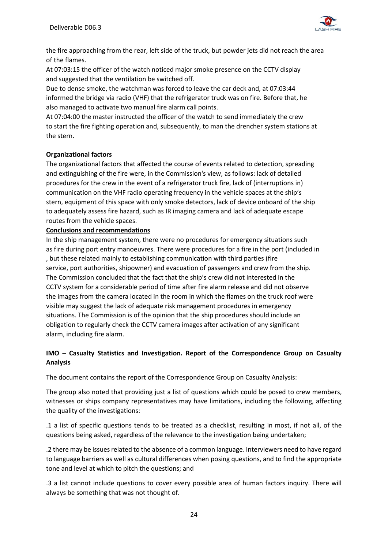

the fire approaching from the rear, left side of the truck, but powder jets did not reach the area of the flames.

At 07:03:15 the officer of the watch noticed major smoke presence on the CCTV display and suggested that the ventilation be switched off.

Due to dense smoke, the watchman was forced to leave the car deck and, at 07:03:44 informed the bridge via radio (VHF) that the refrigerator truck was on fire. Before that, he also managed to activate two manual fire alarm call points.

At 07:04:00 the master instructed the officer of the watch to send immediately the crew to start the fire fighting operation and, subsequently, to man the drencher system stations at the stern.

#### **Organizational factors**

The organizational factors that affected the course of events related to detection, spreading and extinguishing of the fire were, in the Commission's view, as follows: lack of detailed procedures for the crew in the event of a refrigerator truck fire, lack of (interruptions in) communication on the VHF radio operating frequency in the vehicle spaces at the ship's stern, equipment of this space with only smoke detectors, lack of device onboard of the ship to adequately assess fire hazard, such as IR imaging camera and lack of adequate escape routes from the vehicle spaces.

#### **Conclusions and recommendations**

In the ship management system, there were no procedures for emergency situations such as fire during port entry manoeuvres. There were procedures for a fire in the port (included in , but these related mainly to establishing communication with third parties (fire service, port authorities, shipowner) and evacuation of passengers and crew from the ship. The Commission concluded that the fact that the ship's crew did not interested in the CCTV system for a considerable period of time after fire alarm release and did not observe the images from the camera located in the room in which the flames on the truck roof were visible may suggest the lack of adequate risk management procedures in emergency situations. The Commission is of the opinion that the ship procedures should include an obligation to regularly check the CCTV camera images after activation of any significant alarm, including fire alarm.

## **IMO – Casualty Statistics and Investigation. Report of the Correspondence Group on Casualty Analysis**

The document contains the report of the Correspondence Group on Casualty Analysis:

The group also noted that providing just a list of questions which could be posed to crew members, witnesses or ships company representatives may have limitations, including the following, affecting the quality of the investigations:

.1 a list of specific questions tends to be treated as a checklist, resulting in most, if not all, of the questions being asked, regardless of the relevance to the investigation being undertaken;

.2 there may be issues related to the absence of a common language. Interviewers need to have regard to language barriers as well as cultural differences when posing questions, and to find the appropriate tone and level at which to pitch the questions; and

.3 a list cannot include questions to cover every possible area of human factors inquiry. There will always be something that was not thought of.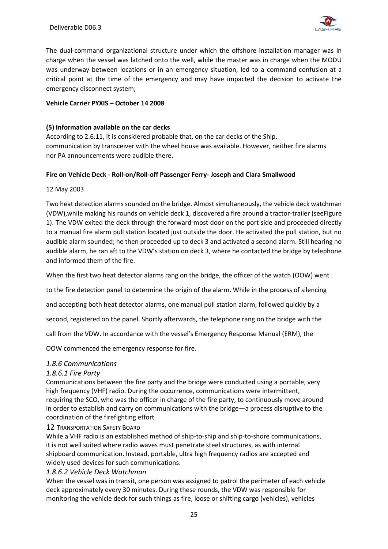

The dual-command organizational structure under which the offshore installation manager was in charge when the vessel was latched onto the well, while the master was in charge when the MODU was underway between locations or in an emergency situation, led to a command confusion at a critical point at the time of the emergency and may have impacted the decision to activate the emergency disconnect system;

#### **Vehicle Carrier PYXIS – October 14 2008**

#### **(5) Information available on the car decks**

According to 2.6.11, it is considered probable that, on the car decks of the Ship, communication by transceiver with the wheel house was available. However, neither fire alarms nor PA announcements were audible there.

#### **Fire on Vehicle Deck - Roll-on/Roll-off Passenger Ferry- Joseph and Clara Smallwood**

#### 12 May 2003

Two heat detection alarms sounded on the bridge. Almost simultaneously, the vehicle deck watchman (VDW),while making his rounds on vehicle deck 1, discovered a fire around a tractor-trailer (seeFigure 1). The VDW exited the deck through the forward-most door on the port side and proceeded directly to a manual fire alarm pull station located just outside the door. He activated the pull station, but no audible alarm sounded; he then proceeded up to deck 3 and activated a second alarm. Still hearing no audible alarm, he ran aft to the VDW's station on deck 3, where he contacted the bridge by telephone and informed them of the fire.

When the first two heat detector alarms rang on the bridge, the officer of the watch (OOW) went

to the fire detection panel to determine the origin of the alarm. While in the process of silencing

and accepting both heat detector alarms, one manual pull station alarm, followed quickly by a

second, registered on the panel. Shortly afterwards, the telephone rang on the bridge with the

call from the VDW. In accordance with the vessel's Emergency Response Manual (ERM), the

OOW commenced the emergency response for fire.

## *1.8.6 Communications*

## *1.8.6.1 Fire Party*

Communications between the fire party and the bridge were conducted using a portable, very high frequency (VHF) radio. During the occurrence, communications were intermittent, requiring the SCO, who was the officer in charge of the fire party, to continuously move around in order to establish and carry on communications with the bridge—a process disruptive to the coordination of the firefighting effort.

#### 12 TRANSPORTATION SAFETY BOARD

While a VHF radio is an established method of ship-to-ship and ship-to-shore communications, it is not well suited where radio waves must penetrate steel structures, as with internal shipboard communication. Instead, portable, ultra high frequency radios are accepted and widely used devices for such communications.

## *1.8.6.2 Vehicle Deck Watchman*

When the vessel was in transit, one person was assigned to patrol the perimeter of each vehicle deck approximately every 30 minutes. During these rounds, the VDW was responsible for monitoring the vehicle deck for such things as fire, loose or shifting cargo (vehicles), vehicles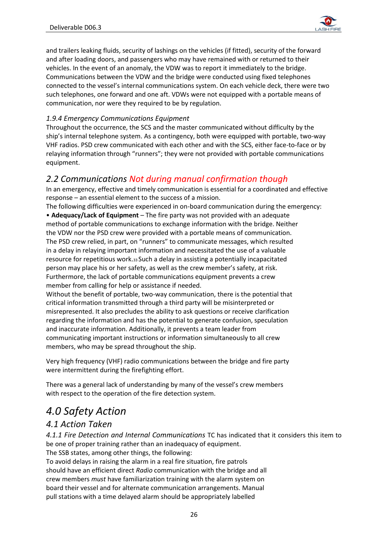

and trailers leaking fluids, security of lashings on the vehicles (if fitted), security of the forward and after loading doors, and passengers who may have remained with or returned to their vehicles. In the event of an anomaly, the VDW was to report it immediately to the bridge. Communications between the VDW and the bridge were conducted using fixed telephones connected to the vessel's internal communications system. On each vehicle deck, there were two such telephones, one forward and one aft. VDWs were not equipped with a portable means of communication, nor were they required to be by regulation.

# *1.9.4 Emergency Communications Equipment*

Throughout the occurrence, the SCS and the master communicated without difficulty by the ship's internal telephone system. As a contingency, both were equipped with portable, two-way VHF radios. PSD crew communicated with each other and with the SCS, either face-to-face or by relaying information through "runners"; they were not provided with portable communications equipment.

# *2.2 Communications Not during manual confirmation though*

In an emergency, effective and timely communication is essential for a coordinated and effective response – an essential element to the success of a mission.

The following difficulties were experienced in on-board communication during the emergency: • **Adequacy/Lack of Equipment** – The fire party was not provided with an adequate method of portable communications to exchange information with the bridge. Neither the VDW nor the PSD crew were provided with a portable means of communication. The PSD crew relied, in part, on "runners" to communicate messages, which resulted in a delay in relaying important information and necessitated the use of a valuable resource for repetitious work.33 Such a delay in assisting a potentially incapacitated person may place his or her safety, as well as the crew member's safety, at risk. Furthermore, the lack of portable communications equipment prevents a crew member from calling for help or assistance if needed.

Without the benefit of portable, two-way communication, there is the potential that critical information transmitted through a third party will be misinterpreted or misrepresented. It also precludes the ability to ask questions or receive clarification regarding the information and has the potential to generate confusion, speculation and inaccurate information. Additionally, it prevents a team leader from communicating important instructions or information simultaneously to all crew members, who may be spread throughout the ship.

Very high frequency (VHF) radio communications between the bridge and fire party were intermittent during the firefighting effort.

There was a general lack of understanding by many of the vessel's crew members with respect to the operation of the fire detection system.

# *4.0 Safety Action*

# *4.1 Action Taken*

*4.1.1 Fire Detection and Internal Communications* TC has indicated that it considers this item to be one of proper training rather than an inadequacy of equipment.

The SSB states, among other things, the following:

To avoid delays in raising the alarm in a real fire situation, fire patrols should have an efficient direct *Radio* communication with the bridge and all crew members *must* have familiarization training with the alarm system on board their vessel and for alternate communication arrangements. Manual pull stations with a time delayed alarm should be appropriately labelled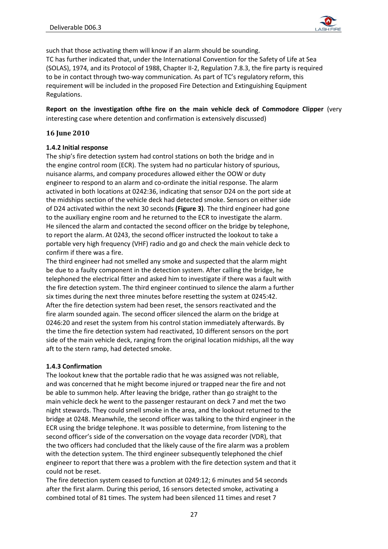

such that those activating them will know if an alarm should be sounding. TC has further indicated that, under the International Convention for the Safety of Life at Sea (SOLAS), 1974, and its Protocol of 1988, Chapter II-2, Regulation 7.8.3, the fire party is required to be in contact through two-way communication. As part of TC's regulatory reform, this requirement will be included in the proposed Fire Detection and Extinguishing Equipment Regulations.

**Report on the investigation ofthe fire on the main vehicle deck of Commodore Clipper** (very interesting case where detention and confirmation is extensively discussed)

#### **16 June 2010**

#### **1.4.2 Initial response**

The ship's fire detection system had control stations on both the bridge and in the engine control room (ECR). The system had no particular history of spurious, nuisance alarms, and company procedures allowed either the OOW or duty engineer to respond to an alarm and co-ordinate the initial response. The alarm activated in both locations at 0242:36, indicating that sensor D24 on the port side at the midships section of the vehicle deck had detected smoke. Sensors on either side of D24 activated within the next 30 seconds **(Figure 3)**. The third engineer had gone to the auxiliary engine room and he returned to the ECR to investigate the alarm. He silenced the alarm and contacted the second officer on the bridge by telephone, to report the alarm. At 0243, the second officer instructed the lookout to take a portable very high frequency (VHF) radio and go and check the main vehicle deck to confirm if there was a fire.

The third engineer had not smelled any smoke and suspected that the alarm might be due to a faulty component in the detection system. After calling the bridge, he telephoned the electrical fitter and asked him to investigate if there was a fault with the fire detection system. The third engineer continued to silence the alarm a further six times during the next three minutes before resetting the system at 0245:42. After the fire detection system had been reset, the sensors reactivated and the fire alarm sounded again. The second officer silenced the alarm on the bridge at 0246:20 and reset the system from his control station immediately afterwards. By the time the fire detection system had reactivated, 10 different sensors on the port side of the main vehicle deck, ranging from the original location midships, all the way aft to the stern ramp, had detected smoke.

#### **1.4.3 Confirmation**

The lookout knew that the portable radio that he was assigned was not reliable, and was concerned that he might become injured or trapped near the fire and not be able to summon help. After leaving the bridge, rather than go straight to the main vehicle deck he went to the passenger restaurant on deck 7 and met the two night stewards. They could smell smoke in the area, and the lookout returned to the bridge at 0248. Meanwhile, the second officer was talking to the third engineer in the ECR using the bridge telephone. It was possible to determine, from listening to the second officer's side of the conversation on the voyage data recorder (VDR), that the two officers had concluded that the likely cause of the fire alarm was a problem with the detection system. The third engineer subsequently telephoned the chief engineer to report that there was a problem with the fire detection system and that it could not be reset.

The fire detection system ceased to function at 0249:12; 6 minutes and 54 seconds after the first alarm. During this period, 16 sensors detected smoke, activating a combined total of 81 times. The system had been silenced 11 times and reset 7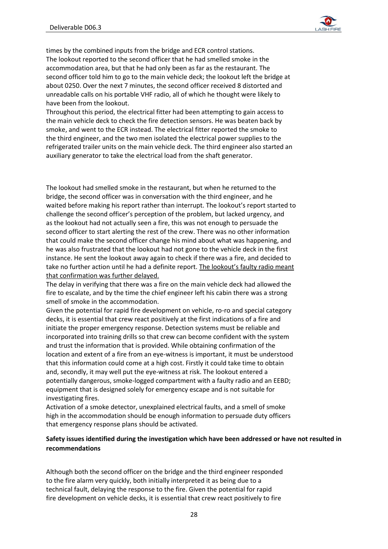

times by the combined inputs from the bridge and ECR control stations. The lookout reported to the second officer that he had smelled smoke in the accommodation area, but that he had only been as far as the restaurant. The second officer told him to go to the main vehicle deck; the lookout left the bridge at about 0250. Over the next 7 minutes, the second officer received 8 distorted and unreadable calls on his portable VHF radio, all of which he thought were likely to have been from the lookout.

Throughout this period, the electrical fitter had been attempting to gain access to the main vehicle deck to check the fire detection sensors. He was beaten back by smoke, and went to the ECR instead. The electrical fitter reported the smoke to the third engineer, and the two men isolated the electrical power supplies to the refrigerated trailer units on the main vehicle deck. The third engineer also started an auxiliary generator to take the electrical load from the shaft generator.

The lookout had smelled smoke in the restaurant, but when he returned to the bridge, the second officer was in conversation with the third engineer, and he waited before making his report rather than interrupt. The lookout's report started to challenge the second officer's perception of the problem, but lacked urgency, and as the lookout had not actually seen a fire, this was not enough to persuade the second officer to start alerting the rest of the crew. There was no other information that could make the second officer change his mind about what was happening, and he was also frustrated that the lookout had not gone to the vehicle deck in the first instance. He sent the lookout away again to check if there was a fire, and decided to take no further action until he had a definite report. The lookout's faulty radio meant that confirmation was further delayed.

The delay in verifying that there was a fire on the main vehicle deck had allowed the fire to escalate, and by the time the chief engineer left his cabin there was a strong smell of smoke in the accommodation.

Given the potential for rapid fire development on vehicle, ro-ro and special category decks, it is essential that crew react positively at the first indications of a fire and initiate the proper emergency response. Detection systems must be reliable and incorporated into training drills so that crew can become confident with the system and trust the information that is provided. While obtaining confirmation of the location and extent of a fire from an eye-witness is important, it must be understood that this information could come at a high cost. Firstly it could take time to obtain and, secondly, it may well put the eye-witness at risk. The lookout entered a potentially dangerous, smoke-logged compartment with a faulty radio and an EEBD; equipment that is designed solely for emergency escape and is not suitable for investigating fires.

Activation of a smoke detector, unexplained electrical faults, and a smell of smoke high in the accommodation should be enough information to persuade duty officers that emergency response plans should be activated.

#### **Safety issues identified during the investigation which have been addressed or have not resulted in recommendations**

Although both the second officer on the bridge and the third engineer responded to the fire alarm very quickly, both initially interpreted it as being due to a technical fault, delaying the response to the fire. Given the potential for rapid fire development on vehicle decks, it is essential that crew react positively to fire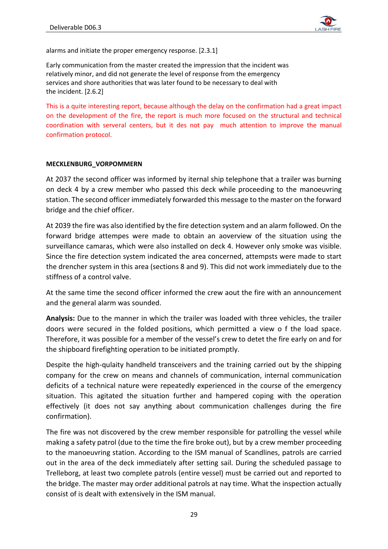

alarms and initiate the proper emergency response. [2.3.1]

Early communication from the master created the impression that the incident was relatively minor, and did not generate the level of response from the emergency services and shore authorities that was later found to be necessary to deal with the incident. [2.6.2]

This is a quite interesting report, because although the delay on the confirmation had a great impact on the development of the fire, the report is much more focused on the structural and technical coordination with serveral centers, but it des not pay much attention to improve the manual confirmation protocol.

#### **MECKLENBURG\_VORPOMMERN**

At 2037 the second officer was informed by iternal ship telephone that a trailer was burning on deck 4 by a crew member who passed this deck while proceeding to the manoeuvring station. The second officer immediately forwarded this message to the master on the forward bridge and the chief officer.

At 2039 the fire was also identified by the fire detection system and an alarm followed. On the forward bridge attempes were made to obtain an aoverview of the situation using the surveillance camaras, which were also installed on deck 4. However only smoke was visible. Since the fire detection system indicated the area concerned, attempsts were made to start the drencher system in this area (sections 8 and 9). This did not work immediately due to the stiffness of a control valve.

At the same time the second officer informed the crew aout the fire with an announcement and the general alarm was sounded.

**Analysis:** Due to the manner in which the trailer was loaded with three vehicles, the trailer doors were secured in the folded positions, which permitted a view o f the load space. Therefore, it was possible for a member of the vessel's crew to detet the fire early on and for the shipboard firefighting operation to be initiated promptly.

Despite the high-qulaity handheld transceivers and the training carried out by the shipping company for the crew on means and channels of communication, internal communication deficits of a technical nature were repeatedly experienced in the course of the emergency situation. This agitated the situation further and hampered coping with the operation effectively (it does not say anything about communication challenges during the fire confirmation).

The fire was not discovered by the crew member responsible for patrolling the vessel while making a safety patrol (due to the time the fire broke out), but by a crew member proceeding to the manoeuvring station. According to the ISM manual of Scandlines, patrols are carried out in the area of the deck immediately after setting sail. During the scheduled passage to Trelleborg, at least two complete patrols (entire vessel) must be carried out and reported to the bridge. The master may order additional patrols at nay time. What the inspection actually consist of is dealt with extensively in the ISM manual.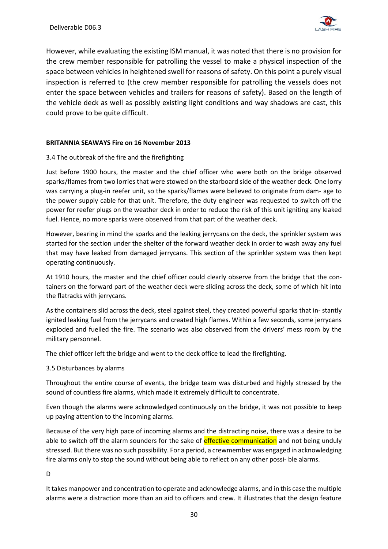

However, while evaluating the existing ISM manual, it was noted that there is no provision for the crew member responsible for patrolling the vessel to make a physical inspection of the space between vehicles in heightened swell for reasons of safety. On this point a purely visual inspection is referred to (the crew member responsible for patrolling the vessels does not enter the space between vehicles and trailers for reasons of safety). Based on the length of the vehicle deck as well as possibly existing light conditions and way shadows are cast, this could prove to be quite difficult.

#### **BRITANNIA SEAWAYS Fire on 16 November 2013**

## 3.4 The outbreak of the fire and the firefighting

Just before 1900 hours, the master and the chief officer who were both on the bridge observed sparks/flames from two lorries that were stowed on the starboard side of the weather deck. One lorry was carrying a plug-in reefer unit, so the sparks/flames were believed to originate from dam- age to the power supply cable for that unit. Therefore, the duty engineer was requested to switch off the power for reefer plugs on the weather deck in order to reduce the risk of this unit igniting any leaked fuel. Hence, no more sparks were observed from that part of the weather deck.

However, bearing in mind the sparks and the leaking jerrycans on the deck, the sprinkler system was started for the section under the shelter of the forward weather deck in order to wash away any fuel that may have leaked from damaged jerrycans. This section of the sprinkler system was then kept operating continuously.

At 1910 hours, the master and the chief officer could clearly observe from the bridge that the containers on the forward part of the weather deck were sliding across the deck, some of which hit into the flatracks with jerrycans.

As the containers slid across the deck, steel against steel, they created powerful sparks that in- stantly ignited leaking fuel from the jerrycans and created high flames. Within a few seconds, some jerrycans exploded and fuelled the fire. The scenario was also observed from the drivers' mess room by the military personnel.

The chief officer left the bridge and went to the deck office to lead the firefighting.

#### 3.5 Disturbances by alarms

Throughout the entire course of events, the bridge team was disturbed and highly stressed by the sound of countless fire alarms, which made it extremely difficult to concentrate.

Even though the alarms were acknowledged continuously on the bridge, it was not possible to keep up paying attention to the incoming alarms.

Because of the very high pace of incoming alarms and the distracting noise, there was a desire to be able to switch off the alarm sounders for the sake of effective communication and not being unduly stressed. But there was no such possibility. For a period, a crewmember was engaged in acknowledging fire alarms only to stop the sound without being able to reflect on any other possi- ble alarms.

D

It takes manpower and concentration to operate and acknowledge alarms, and in this case the multiple alarms were a distraction more than an aid to officers and crew. It illustrates that the design feature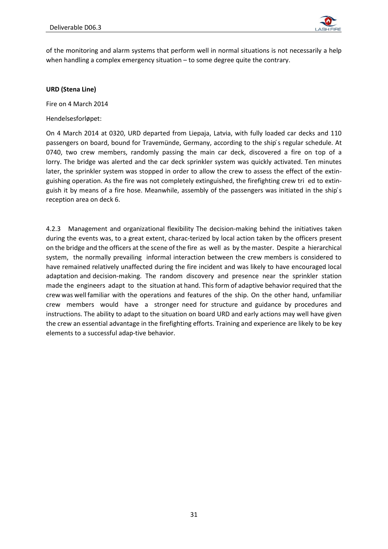

of the monitoring and alarm systems that perform well in normal situations is not necessarily a help when handling a complex emergency situation – to some degree quite the contrary.

#### **URD (Stena Line)**

Fire on 4 March 2014

Hendelsesforløpet:

On 4 March 2014 at 0320, URD departed from Liepaja, Latvia, with fully loaded car decks and 110 passengers on board, bound for Travemünde, Germany, according to the ship's regular schedule. At 0740, two crew members, randomly passing the main car deck, discovered a fire on top of a lorry. The bridge was alerted and the car deck sprinkler system was quickly activated. Ten minutes later, the sprinkler system was stopped in order to allow the crew to assess the effect of the extinguishing operation. As the fire was not completely extinguished, the firefighting crew tri ed to extinguish it by means of a fire hose. Meanwhile, assembly of the passengers was initiated in the ship's reception area on deck 6.

4.2.3 Management and organizational flexibility The decision-making behind the initiatives taken during the events was, to a great extent, charac-terized by local action taken by the officers present on the bridge and the officers at the scene of the fire as well as by the master. Despite a hierarchical system, the normally prevailing informal interaction between the crew members is considered to have remained relatively unaffected during the fire incident and was likely to have encouraged local adaptation and decision-making. The random discovery and presence near the sprinkler station made the engineers adapt to the situation at hand. This form of adaptive behavior required that the crew was well familiar with the operations and features of the ship. On the other hand, unfamiliar crew members would have a stronger need for structure and guidance by procedures and instructions. The ability to adapt to the situation on board URD and early actions may well have given the crew an essential advantage in the firefighting efforts. Training and experience are likely to be key elements to a successful adap-tive behavior.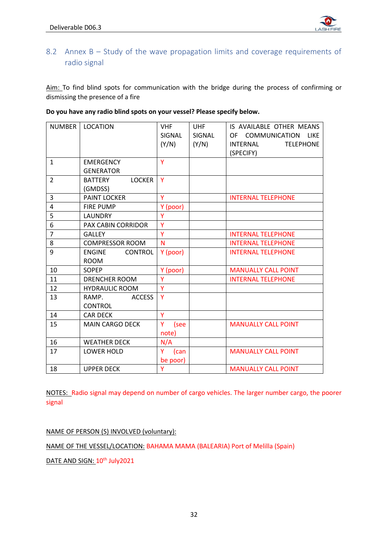

# <span id="page-32-0"></span>8.2 Annex B – Study of the wave propagation limits and coverage requirements of radio signal

Aim: To find blind spots for communication with the bridge during the process of confirming or dismissing the presence of a fire

| <b>NUMBER</b>  | <b>LOCATION</b>                 | <b>VHF</b> | <b>UHF</b> | IS AVAILABLE OTHER MEANS        |
|----------------|---------------------------------|------------|------------|---------------------------------|
|                |                                 | SIGNAL     | SIGNAL     | OF COMMUNICATION<br><b>LIKE</b> |
|                |                                 | (Y/N)      | (Y/N)      | INTERNAL<br><b>TELEPHONE</b>    |
|                |                                 |            |            | (SPECIFY)                       |
| $\mathbf{1}$   | <b>EMERGENCY</b>                | Y          |            |                                 |
|                | <b>GENERATOR</b>                |            |            |                                 |
| $\overline{2}$ | <b>BATTERY</b><br><b>LOCKER</b> | Y          |            |                                 |
|                | (GMDSS)                         |            |            |                                 |
| 3              | <b>PAINT LOCKER</b>             | Ÿ          |            |                                 |
|                |                                 |            |            | <b>INTERNAL TELEPHONE</b>       |
| 4              | <b>FIRE PUMP</b>                | Y (poor)   |            |                                 |
| 5              | <b>LAUNDRY</b>                  | Ÿ          |            |                                 |
| 6              | <b>PAX CABIN CORRIDOR</b>       | Y          |            |                                 |
| $\overline{7}$ | <b>GALLEY</b>                   | Ÿ          |            | <b>INTERNAL TELEPHONE</b>       |
| 8              | <b>COMPRESSOR ROOM</b>          | N          |            | <b>INTERNAL TELEPHONE</b>       |
| 9              | <b>ENGINE</b><br><b>CONTROL</b> | Y (poor)   |            | <b>INTERNAL TELEPHONE</b>       |
|                | <b>ROOM</b>                     |            |            |                                 |
| 10             | <b>SOPEP</b>                    | Y (poor)   |            | <b>MANUALLY CALL POINT</b>      |
| 11             | <b>DRENCHER ROOM</b>            | Ÿ          |            | <b>INTERNAL TELEPHONE</b>       |
| 12             | <b>HYDRAULIC ROOM</b>           | Y          |            |                                 |
| 13             | <b>ACCESS</b><br>RAMP.          | Y          |            |                                 |
|                | <b>CONTROL</b>                  |            |            |                                 |
| 14             | <b>CAR DECK</b>                 | Ÿ          |            |                                 |
| 15             | <b>MAIN CARGO DECK</b>          | Y<br>(see  |            | <b>MANUALLY CALL POINT</b>      |
|                |                                 | note)      |            |                                 |
| 16             | <b>WEATHER DECK</b>             | N/A        |            |                                 |
| 17             | <b>LOWER HOLD</b>               | Y<br>(can  |            | <b>MANUALLY CALL POINT</b>      |
|                |                                 | be poor)   |            |                                 |
| 18             | <b>UPPER DECK</b>               | Y          |            | <b>MANUALLY CALL POINT</b>      |

#### **Do you have any radio blind spots on your vessel? Please specify below.**

NOTES: Radio signal may depend on number of cargo vehicles. The larger number cargo, the poorer signal

NAME OF PERSON (S) INVOLVED (voluntary):

NAME OF THE VESSEL/LOCATION: BAHAMA MAMA (BALEARIA) Port of Melilla (Spain)

DATE AND SIGN: 10<sup>th</sup> July2021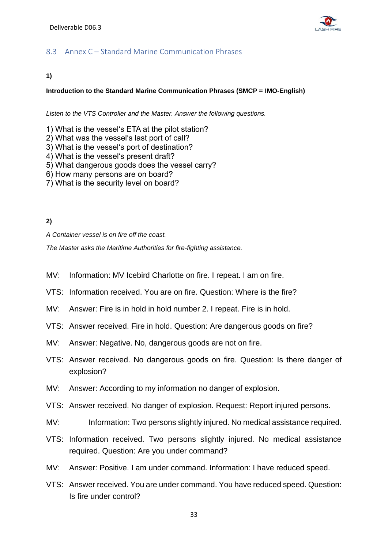

# <span id="page-33-0"></span>8.3 Annex C – Standard Marine Communication Phrases

## **1)**

## **Introduction to the Standard Marine Communication Phrases (SMCP = IMO-English)**

*Listen to the VTS Controller and the Master. Answer the following questions.*

- 1) What is the vessel's ETA at the pilot station?
- 2) What was the vessel's last port of call?
- 3) What is the vessel's port of destination?
- 4) What is the vessel's present draft?
- 5) What dangerous goods does the vessel carry?
- 6) How many persons are on board?
- 7) What is the security level on board?

## **2)**

*A Container vessel is on fire off the coast.* 

*The Master asks the Maritime Authorities for fire-fighting assistance.* 

- MV: Information: MV Icebird Charlotte on fire. I repeat. I am on fire.
- VTS: Information received. You are on fire. Question: Where is the fire?
- MV: Answer: Fire is in hold in hold number 2. I repeat. Fire is in hold.
- VTS: Answer received. Fire in hold. Question: Are dangerous goods on fire?
- MV: Answer: Negative. No, dangerous goods are not on fire.
- VTS: Answer received. No dangerous goods on fire. Question: Is there danger of explosion?
- MV: Answer: According to my information no danger of explosion.
- VTS: Answer received. No danger of explosion. Request: Report injured persons.
- MV: Information: Two persons slightly injured. No medical assistance required.
- VTS: Information received. Two persons slightly injured. No medical assistance required. Question: Are you under command?
- MV: Answer: Positive. I am under command. Information: I have reduced speed.
- VTS: Answer received. You are under command. You have reduced speed. Question: Is fire under control?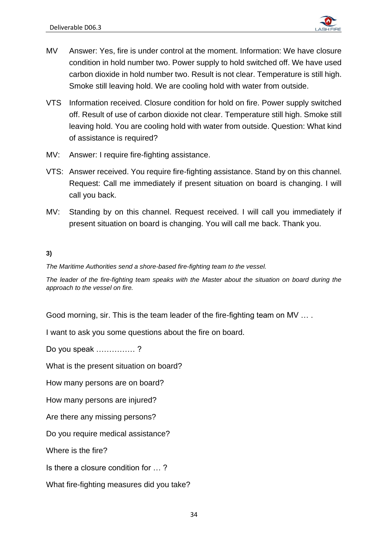

- MV Answer: Yes, fire is under control at the moment. Information: We have closure condition in hold number two. Power supply to hold switched off. We have used carbon dioxide in hold number two. Result is not clear. Temperature is still high. Smoke still leaving hold. We are cooling hold with water from outside.
- VTS Information received. Closure condition for hold on fire. Power supply switched off. Result of use of carbon dioxide not clear. Temperature still high. Smoke still leaving hold. You are cooling hold with water from outside. Question: What kind of assistance is required?
- MV: Answer: I require fire-fighting assistance.
- VTS: Answer received. You require fire-fighting assistance. Stand by on this channel. Request: Call me immediately if present situation on board is changing. I will call you back.
- MV: Standing by on this channel. Request received. I will call you immediately if present situation on board is changing. You will call me back. Thank you.

# **3)**

*The Maritime Authorities send a shore-based fire-fighting team to the vessel.* 

*The leader of the fire-fighting team speaks with the Master about the situation on board during the approach to the vessel on fire.*

Good morning, sir. This is the team leader of the fire-fighting team on MV … .

I want to ask you some questions about the fire on board.

Do you speak …………… ?

What is the present situation on board?

How many persons are on board?

How many persons are injured?

Are there any missing persons?

Do you require medical assistance?

Where is the fire?

Is there a closure condition for … ?

What fire-fighting measures did you take?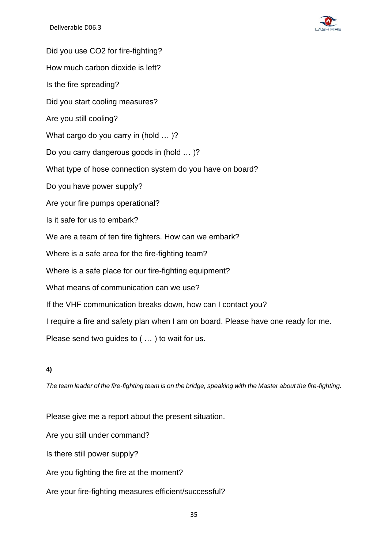

Did you use CO2 for fire-fighting? How much carbon dioxide is left? Is the fire spreading? Did you start cooling measures? Are you still cooling? What cargo do you carry in (hold … )? Do you carry dangerous goods in (hold … )? What type of hose connection system do you have on board? Do you have power supply? Are your fire pumps operational? Is it safe for us to embark? We are a team of ten fire fighters. How can we embark? Where is a safe area for the fire-fighting team? Where is a safe place for our fire-fighting equipment? What means of communication can we use? If the VHF communication breaks down, how can I contact you? I require a fire and safety plan when I am on board. Please have one ready for me. Please send two guides to ( … ) to wait for us.

# **4)**

*The team leader of the fire-fighting team is on the bridge, speaking with the Master about the fire-fighting.*

Please give me a report about the present situation.

Are you still under command?

Is there still power supply?

Are you fighting the fire at the moment?

Are your fire-fighting measures efficient/successful?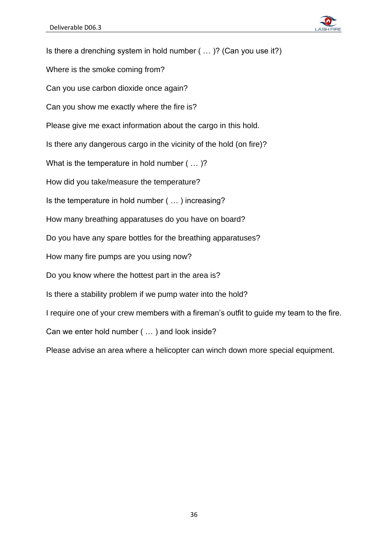

Is there a drenching system in hold number ( … )? (Can you use it?) Where is the smoke coming from? Can you use carbon dioxide once again? Can you show me exactly where the fire is? Please give me exact information about the cargo in this hold. Is there any dangerous cargo in the vicinity of the hold (on fire)? What is the temperature in hold number ( … )? How did you take/measure the temperature? Is the temperature in hold number ( … ) increasing? How many breathing apparatuses do you have on board? Do you have any spare bottles for the breathing apparatuses? How many fire pumps are you using now? Do you know where the hottest part in the area is? Is there a stability problem if we pump water into the hold? I require one of your crew members with a fireman's outfit to guide my team to the fire. Can we enter hold number ( … ) and look inside? Please advise an area where a helicopter can winch down more special equipment.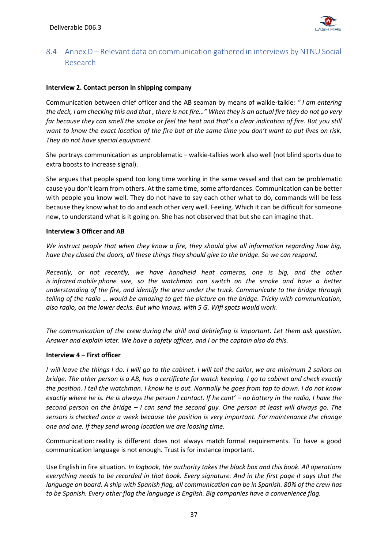

# <span id="page-37-0"></span>8.4 Annex D – Relevant data on communication gathered in interviews by NTNU Social Research

#### **Interview 2. Contact person in shipping company**

Communication between chief officer and the AB seaman by means of walkie-talkie*: " I am entering the deck, I am checking this and that , there is not fire…" When they is an actual fire they do not go very far because they can smell the smoke or feel the heat and that's a clear indication of fire. But you still want to know the exact location of the fire but at the same time you don't want to put lives on risk. They do not have special equipment.*

She portrays communication as unproblematic – walkie-talkies work also well (not blind sports due to extra boosts to increase signal).

She argues that people spend too long time working in the same vessel and that can be problematic cause you don't learn from others. At the same time, some affordances. Communication can be better with people you know well. They do not have to say each other what to do, commands will be less because they know what to do and each other very well. Feeling. Which it can be difficult for someone new, to understand what is it going on. She has not observed that but she can imagine that.

#### **Interview 3 Officer and AB**

*We instruct people that when they know a fire, they should give all information regarding how big, have they closed the doors, all these things they should give to the bridge. So we can respond.*

*Recently, or not recently, we have handheld heat cameras, one is big, and the other is infrared mobile phone size, so the watchman can switch on the smoke and have a better understanding of the fire, and identify the area under the truck. Communicate to the bridge through telling of the radio … would be amazing to get the picture on the bridge. Tricky with communication, also radio, on the lower decks. But who knows, with 5 G. Wifi spots would work.*

*The communication of the crew during the drill and debriefing is important. Let them ask question. Answer and explain later. We have a safety officer, and I or the captain also do this.*

#### **Interview 4 – First officer**

*I will leave the things I do. I will go to the cabinet. I will tell the sailor, we are minimum 2 sailors on bridge. The other person is a AB, has a certificate for watch keeping. I go to cabinet and check exactly the position. I tell the watchman. I know he is out. Normally he goes from top to down. I do not know exactly where he is. He is always the person I contact. If he cant' – no battery in the radio, I have the second person on the bridge – I can send the second guy. One person at least will always go. The sensors is checked once a week because the position is very important. For maintenance the change one and one. If they send wrong location we are loosing time.*

Communication: reality is different does not always match formal requirements. To have a good communication language is not enough. Trust is for instance important.

Use English in fire situation*. In logbook, the authority takes the black box and this book. All operations everything needs to be recorded in that book. Every signature. And in the first page it says that the language on board. A ship with Spanish flag, all communication can be in Spanish. 80% of the crew has to be Spanish. Every other flag the language is English. Big companies have a convenience flag.*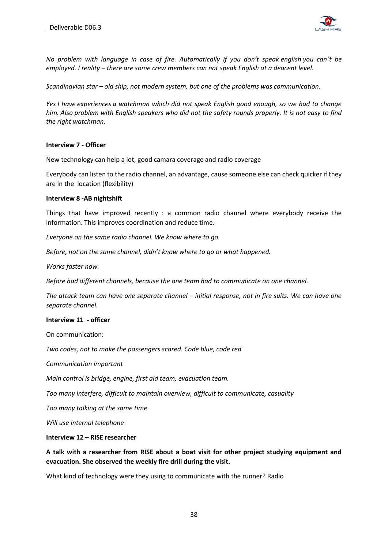

*No problem with language in case of fire. Automatically if you don't speak english you can´t be employed. I reality – there are some crew members can not speak English at a deacent level.*

*Scandinavian star – old ship, not modern system, but one of the problems was communication.*

*Yes I have experiences a watchman which did not speak English good enough, so we had to change him. Also problem with English speakers who did not the safety rounds properly. It is not easy to find the right watchman.*

#### **Interview 7 - Officer**

New technology can help a lot, good camara coverage and radio coverage

Everybody can listen to the radio channel, an advantage, cause someone else can check quicker if they are in the location (flexibility)

#### **Interview 8 -AB nightshift**

Things that have improved recently : a common radio channel where everybody receive the information. This improves coordination and reduce time.

*Everyone on the same radio channel. We know where to go.* 

*Before, not on the same channel, didn't know where to go or what happened.* 

*Works faster now.* 

*Before had different channels, because the one team had to communicate on one channel.* 

*The attack team can have one separate channel – initial response, not in fire suits. We can have one separate channel.* 

#### **Interview 11 - officer**

On communication:

*Two codes, not to make the passengers scared. Code blue, code red* 

*Communication important* 

*Main control is bridge, engine, first aid team, evacuation team.* 

*Too many interfere, difficult to maintain overview, difficult to communicate, casuality* 

*Too many talking at the same time* 

*Will use internal telephone*

#### **Interview 12 – RISE researcher**

**A talk with a researcher from RISE about a boat visit for other project studying equipment and evacuation. She observed the weekly fire drill during the visit.**

What kind of technology were they using to communicate with the runner? Radio